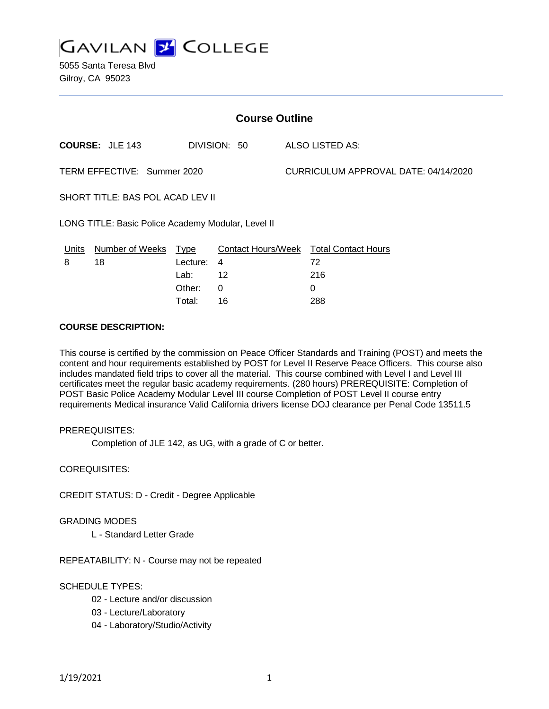

5055 Santa Teresa Blvd Gilroy, CA 95023

| <b>Course Outline</b>                              |                        |          |              |  |                                               |  |
|----------------------------------------------------|------------------------|----------|--------------|--|-----------------------------------------------|--|
|                                                    | <b>COURSE: JLE 143</b> |          | DIVISION: 50 |  | <b>ALSO LISTED AS:</b>                        |  |
| TERM EFFECTIVE: Summer 2020                        |                        |          |              |  | CURRICULUM APPROVAL DATE: 04/14/2020          |  |
| SHORT TITLE: BAS POL ACAD LEV II                   |                        |          |              |  |                                               |  |
| LONG TITLE: Basic Police Academy Modular, Level II |                        |          |              |  |                                               |  |
| <u>Units</u>                                       | Number of Weeks Type   |          |              |  | <b>Contact Hours/Week Total Contact Hours</b> |  |
| 8                                                  | 18                     | Lecture: | 4            |  | 72                                            |  |
|                                                    |                        | Lab:     | 12           |  | 216                                           |  |
|                                                    |                        | Other:   | $\Omega$     |  | $\Omega$                                      |  |
|                                                    |                        | Total:   | 16           |  | 288                                           |  |

### **COURSE DESCRIPTION:**

This course is certified by the commission on Peace Officer Standards and Training (POST) and meets the content and hour requirements established by POST for Level II Reserve Peace Officers. This course also includes mandated field trips to cover all the material. This course combined with Level I and Level III certificates meet the regular basic academy requirements. (280 hours) PREREQUISITE: Completion of POST Basic Police Academy Modular Level III course Completion of POST Level II course entry requirements Medical insurance Valid California drivers license DOJ clearance per Penal Code 13511.5

### PREREQUISITES:

Completion of JLE 142, as UG, with a grade of C or better.

COREQUISITES:

CREDIT STATUS: D - Credit - Degree Applicable

### GRADING MODES

L - Standard Letter Grade

REPEATABILITY: N - Course may not be repeated

### SCHEDULE TYPES:

- 02 Lecture and/or discussion
- 03 Lecture/Laboratory
- 04 Laboratory/Studio/Activity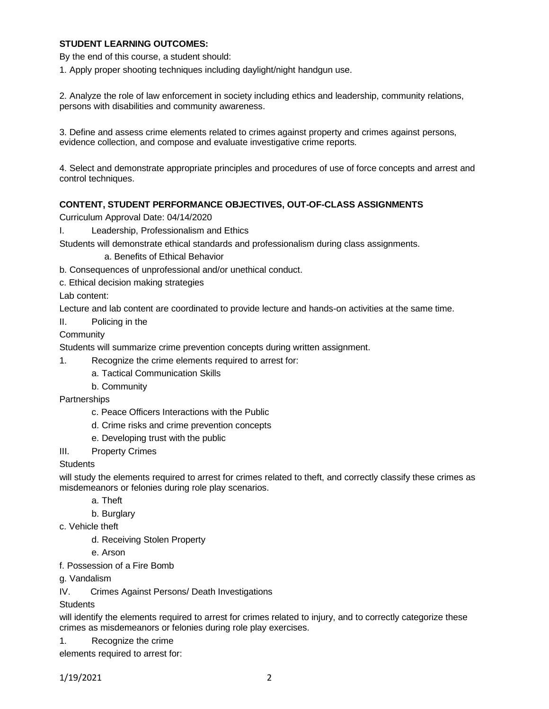## **STUDENT LEARNING OUTCOMES:**

By the end of this course, a student should:

1. Apply proper shooting techniques including daylight/night handgun use.

2. Analyze the role of law enforcement in society including ethics and leadership, community relations, persons with disabilities and community awareness.

3. Define and assess crime elements related to crimes against property and crimes against persons, evidence collection, and compose and evaluate investigative crime reports.

4. Select and demonstrate appropriate principles and procedures of use of force concepts and arrest and control techniques.

# **CONTENT, STUDENT PERFORMANCE OBJECTIVES, OUT-OF-CLASS ASSIGNMENTS**

Curriculum Approval Date: 04/14/2020

I. Leadership, Professionalism and Ethics

Students will demonstrate ethical standards and professionalism during class assignments.

a. Benefits of Ethical Behavior

b. Consequences of unprofessional and/or unethical conduct.

c. Ethical decision making strategies

Lab content:

Lecture and lab content are coordinated to provide lecture and hands-on activities at the same time.

II. Policing in the

**Community** 

Students will summarize crime prevention concepts during written assignment.

- 1. Recognize the crime elements required to arrest for:
	- a. Tactical Communication Skills
	- b. Community

**Partnerships** 

- c. Peace Officers Interactions with the Public
- d. Crime risks and crime prevention concepts
- e. Developing trust with the public
- III. Property Crimes

### **Students**

will study the elements required to arrest for crimes related to theft, and correctly classify these crimes as misdemeanors or felonies during role play scenarios.

- a. Theft
	- b. Burglary
- c. Vehicle theft
	- d. Receiving Stolen Property

e. Arson

- f. Possession of a Fire Bomb
- g. Vandalism
- IV. Crimes Against Persons/ Death Investigations

### **Students**

will identify the elements required to arrest for crimes related to injury, and to correctly categorize these crimes as misdemeanors or felonies during role play exercises.

1. Recognize the crime

elements required to arrest for: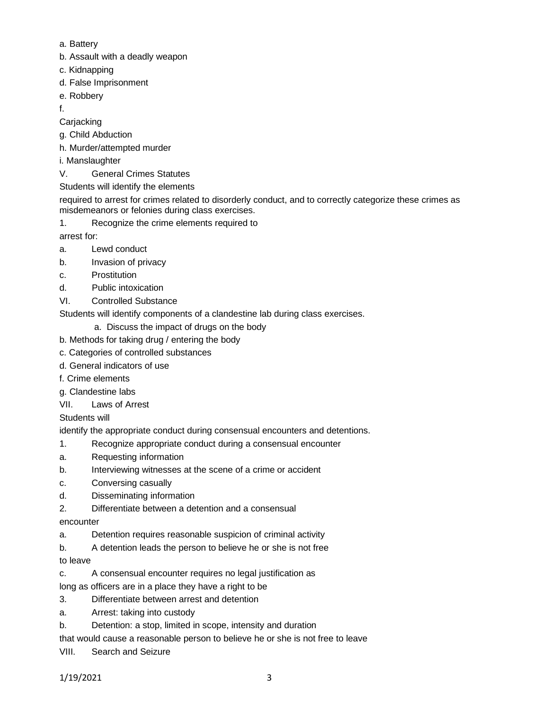- a. Battery
- b. Assault with a deadly weapon
- c. Kidnapping
- d. False Imprisonment
- e. Robbery
- f.

**Carjacking** 

- g. Child Abduction
- h. Murder/attempted murder
- i. Manslaughter
- V. General Crimes Statutes
- Students will identify the elements

required to arrest for crimes related to disorderly conduct, and to correctly categorize these crimes as misdemeanors or felonies during class exercises.

1. Recognize the crime elements required to

arrest for:

- a. Lewd conduct
- b. Invasion of privacy
- c. Prostitution
- d. Public intoxication
- VI. Controlled Substance

Students will identify components of a clandestine lab during class exercises.

- a. Discuss the impact of drugs on the body
- b. Methods for taking drug / entering the body
- c. Categories of controlled substances
- d. General indicators of use
- f. Crime elements
- g. Clandestine labs
- VII. Laws of Arrest

# Students will

identify the appropriate conduct during consensual encounters and detentions.

- 1. Recognize appropriate conduct during a consensual encounter
- a. Requesting information
- b. Interviewing witnesses at the scene of a crime or accident
- c. Conversing casually
- d. Disseminating information
- 2. Differentiate between a detention and a consensual

# encounter

- a. Detention requires reasonable suspicion of criminal activity
- b. A detention leads the person to believe he or she is not free
- to leave
- c. A consensual encounter requires no legal justification as
- long as officers are in a place they have a right to be
- 3. Differentiate between arrest and detention
- a. Arrest: taking into custody
- b. Detention: a stop, limited in scope, intensity and duration

that would cause a reasonable person to believe he or she is not free to leave

VIII. Search and Seizure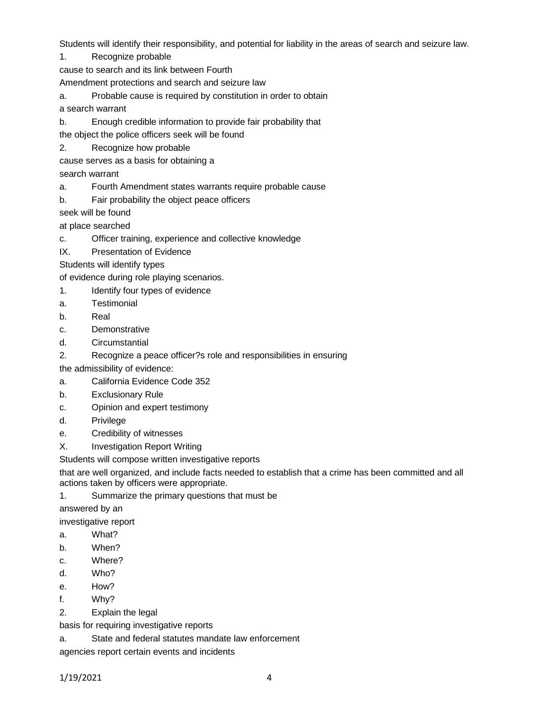Students will identify their responsibility, and potential for liability in the areas of search and seizure law.

1. Recognize probable

cause to search and its link between Fourth

Amendment protections and search and seizure law

a. Probable cause is required by constitution in order to obtain

a search warrant

b. Enough credible information to provide fair probability that

the object the police officers seek will be found

- 2. Recognize how probable
- cause serves as a basis for obtaining a

search warrant

- a. Fourth Amendment states warrants require probable cause
- b. Fair probability the object peace officers

seek will be found

at place searched

- c. Officer training, experience and collective knowledge
- IX. Presentation of Evidence

Students will identify types

of evidence during role playing scenarios.

- 1. Identify four types of evidence
- a. Testimonial
- b. Real
- c. Demonstrative
- d. Circumstantial
- 2. Recognize a peace officer?s role and responsibilities in ensuring

the admissibility of evidence:

- a. California Evidence Code 352
- b. Exclusionary Rule
- c. Opinion and expert testimony
- d. Privilege
- e. Credibility of witnesses
- X. Investigation Report Writing

Students will compose written investigative reports

that are well organized, and include facts needed to establish that a crime has been committed and all actions taken by officers were appropriate.

1. Summarize the primary questions that must be

answered by an

investigative report

- a. What?
- b. When?
- c. Where?
- d. Who?
- e. How?
- f. Why?
- 2. Explain the legal

basis for requiring investigative reports

a. State and federal statutes mandate law enforcement

agencies report certain events and incidents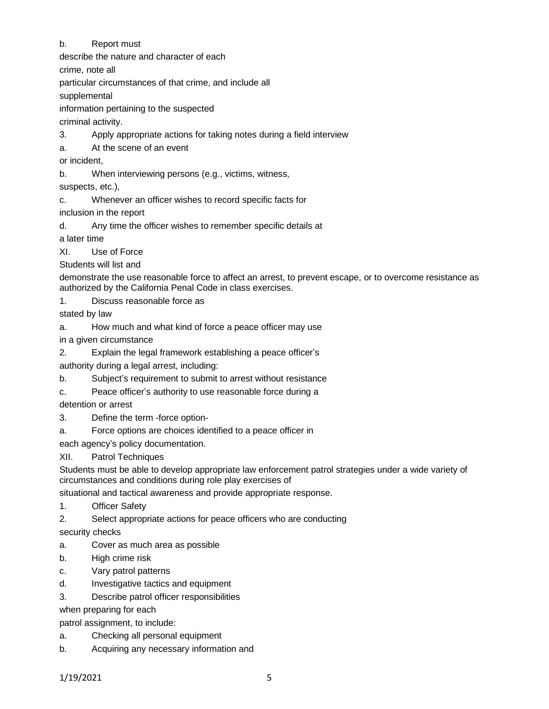# b. Report must

describe the nature and character of each

crime, note all

particular circumstances of that crime, and include all

supplemental

information pertaining to the suspected

criminal activity.

3. Apply appropriate actions for taking notes during a field interview

a. At the scene of an event

or incident,

b. When interviewing persons (e.g., victims, witness,

suspects, etc.),

c. Whenever an officer wishes to record specific facts for

inclusion in the report

d. Any time the officer wishes to remember specific details at

a later time

XI. Use of Force

Students will list and

demonstrate the use reasonable force to affect an arrest, to prevent escape, or to overcome resistance as authorized by the California Penal Code in class exercises.

1. Discuss reasonable force as

stated by law

a. How much and what kind of force a peace officer may use

in a given circumstance

2. Explain the legal framework establishing a peace officer's

authority during a legal arrest, including:

b. Subject's requirement to submit to arrest without resistance

c. Peace officer's authority to use reasonable force during a

detention or arrest

- 3. Define the term -force option-
- a. Force options are choices identified to a peace officer in

each agency's policy documentation.

XII. Patrol Techniques

Students must be able to develop appropriate law enforcement patrol strategies under a wide variety of circumstances and conditions during role play exercises of

situational and tactical awareness and provide appropriate response.

1. Officer Safety

2. Select appropriate actions for peace officers who are conducting

security checks

- a. Cover as much area as possible
- b. High crime risk
- c. Vary patrol patterns
- d. Investigative tactics and equipment
- 3. Describe patrol officer responsibilities

when preparing for each

patrol assignment, to include:

- a. Checking all personal equipment
- b. Acquiring any necessary information and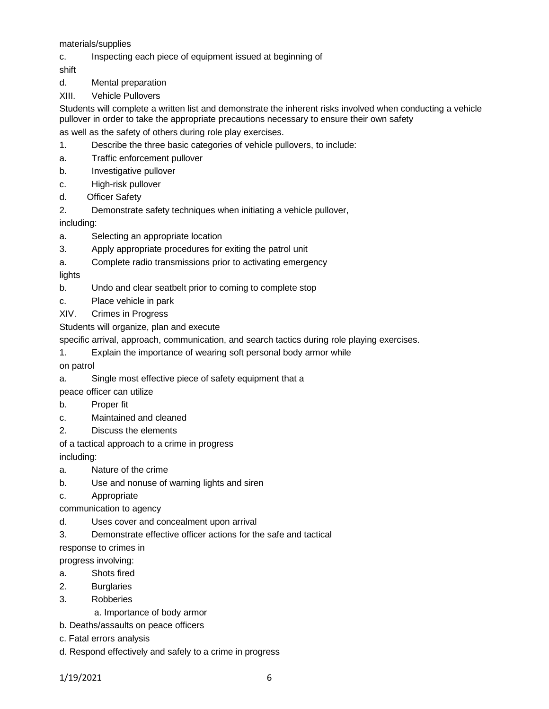materials/supplies

c. Inspecting each piece of equipment issued at beginning of

shift

d. Mental preparation

XIII. Vehicle Pullovers

Students will complete a written list and demonstrate the inherent risks involved when conducting a vehicle pullover in order to take the appropriate precautions necessary to ensure their own safety

as well as the safety of others during role play exercises.

- 1. Describe the three basic categories of vehicle pullovers, to include:
- a. Traffic enforcement pullover
- b. Investigative pullover
- c. High-risk pullover
- d. Officer Safety
- 2. Demonstrate safety techniques when initiating a vehicle pullover,

including:

- a. Selecting an appropriate location
- 3. Apply appropriate procedures for exiting the patrol unit
- a. Complete radio transmissions prior to activating emergency

lights

- b. Undo and clear seatbelt prior to coming to complete stop
- c. Place vehicle in park
- XIV. Crimes in Progress

Students will organize, plan and execute

specific arrival, approach, communication, and search tactics during role playing exercises.

1. Explain the importance of wearing soft personal body armor while

on patrol

a. Single most effective piece of safety equipment that a

peace officer can utilize

- b. Proper fit
- c. Maintained and cleaned
- 2. Discuss the elements
- of a tactical approach to a crime in progress

including:

- a. Nature of the crime
- b. Use and nonuse of warning lights and siren
- c. Appropriate

communication to agency

d. Uses cover and concealment upon arrival

3. Demonstrate effective officer actions for the safe and tactical

response to crimes in

progress involving:

- a. Shots fired
- 2. Burglaries
- 3. Robberies

a. Importance of body armor

- b. Deaths/assaults on peace officers
- c. Fatal errors analysis
- d. Respond effectively and safely to a crime in progress

1/19/2021 6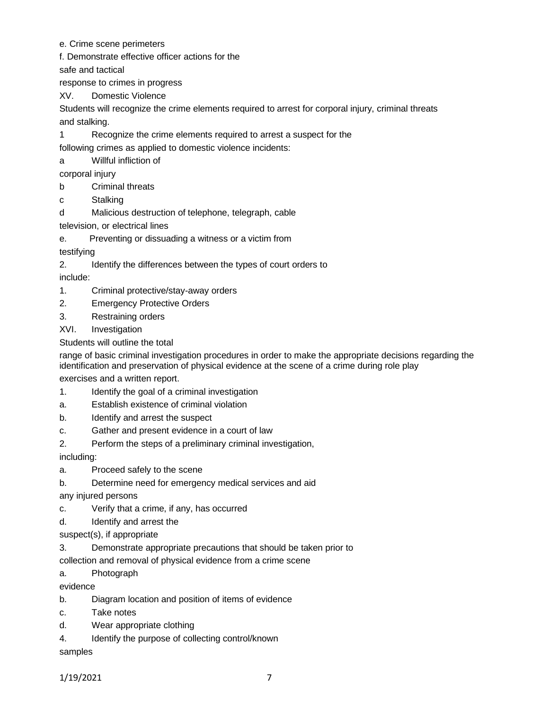- e. Crime scene perimeters
- f. Demonstrate effective officer actions for the

safe and tactical

response to crimes in progress

XV. Domestic Violence

Students will recognize the crime elements required to arrest for corporal injury, criminal threats and stalking.

1 Recognize the crime elements required to arrest a suspect for the

following crimes as applied to domestic violence incidents:

a Willful infliction of

- corporal injury
- b Criminal threats
- c Stalking
- d Malicious destruction of telephone, telegraph, cable
- television, or electrical lines
- e. Preventing or dissuading a witness or a victim from

testifying

2. Identify the differences between the types of court orders to

include:

- 1. Criminal protective/stay-away orders
- 2. Emergency Protective Orders
- 3. Restraining orders
- XVI. Investigation

Students will outline the total

range of basic criminal investigation procedures in order to make the appropriate decisions regarding the identification and preservation of physical evidence at the scene of a crime during role play

exercises and a written report.

- 1. Identify the goal of a criminal investigation
- a. Establish existence of criminal violation
- b. Identify and arrest the suspect
- c. Gather and present evidence in a court of law
- 2. Perform the steps of a preliminary criminal investigation,

including:

- a. Proceed safely to the scene
- b. Determine need for emergency medical services and aid

any injured persons

- c. Verify that a crime, if any, has occurred
- d. Identify and arrest the

suspect(s), if appropriate

3. Demonstrate appropriate precautions that should be taken prior to

collection and removal of physical evidence from a crime scene

a. Photograph

evidence

- b. Diagram location and position of items of evidence
- c. Take notes
- d. Wear appropriate clothing
- 4. Identify the purpose of collecting control/known

samples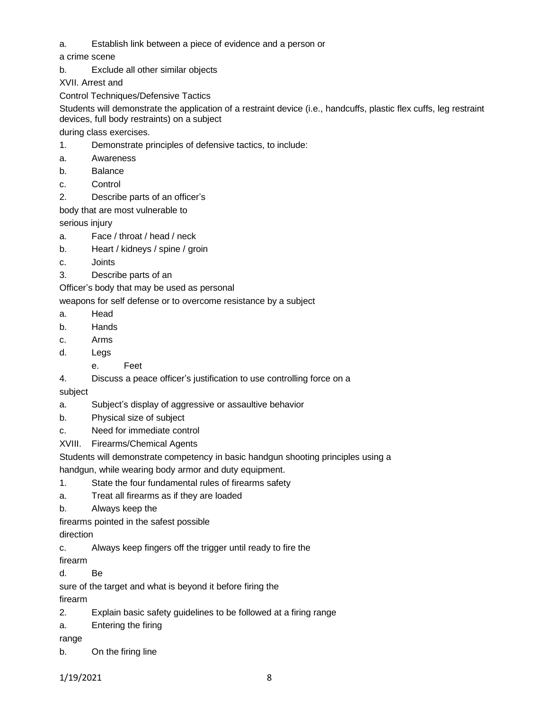a. Establish link between a piece of evidence and a person or

a crime scene

b. Exclude all other similar objects

XVII. Arrest and

Control Techniques/Defensive Tactics

Students will demonstrate the application of a restraint device (i.e., handcuffs, plastic flex cuffs, leg restraint devices, full body restraints) on a subject

during class exercises.

- 1. Demonstrate principles of defensive tactics, to include:
- a. Awareness
- b. Balance
- c. Control
- 2. Describe parts of an officer's

body that are most vulnerable to

serious injury

- a. Face / throat / head / neck
- b. Heart / kidneys / spine / groin
- c. Joints
- 3. Describe parts of an

Officer's body that may be used as personal

weapons for self defense or to overcome resistance by a subject

- a. Head
- b. Hands
- c. Arms
- d. Legs
	- e. Feet
- 4. Discuss a peace officer's justification to use controlling force on a

subject

- a. Subject's display of aggressive or assaultive behavior
- b. Physical size of subject
- c. Need for immediate control
- XVIII. Firearms/Chemical Agents
- Students will demonstrate competency in basic handgun shooting principles using a

handgun, while wearing body armor and duty equipment.

- 1. State the four fundamental rules of firearms safety
- a. Treat all firearms as if they are loaded
- b. Always keep the

firearms pointed in the safest possible

direction

c. Always keep fingers off the trigger until ready to fire the

firearm

d. Be

sure of the target and what is beyond it before firing the

firearm

- 2. Explain basic safety guidelines to be followed at a firing range
- a. Entering the firing

range

b. On the firing line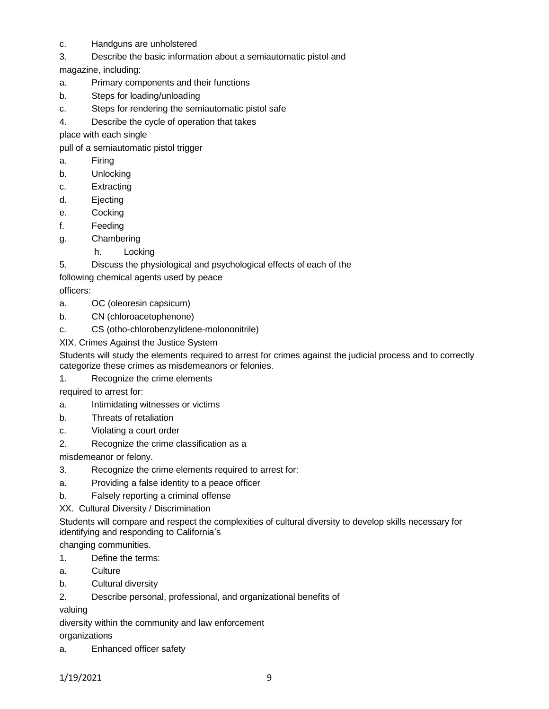- c. Handguns are unholstered
- 3. Describe the basic information about a semiautomatic pistol and

magazine, including:

- a. Primary components and their functions
- b. Steps for loading/unloading
- c. Steps for rendering the semiautomatic pistol safe
- 4. Describe the cycle of operation that takes

place with each single

pull of a semiautomatic pistol trigger

- a. Firing
- b. Unlocking
- c. Extracting
- d. Ejecting
- e. Cocking
- f. Feeding
- g. Chambering
	- h. Locking
- 5. Discuss the physiological and psychological effects of each of the

following chemical agents used by peace

officers:

- a. OC (oleoresin capsicum)
- b. CN (chloroacetophenone)
- c. CS (otho-chlorobenzylidene-molononitrile)
- XIX. Crimes Against the Justice System

Students will study the elements required to arrest for crimes against the judicial process and to correctly categorize these crimes as misdemeanors or felonies.

1. Recognize the crime elements

required to arrest for:

- a. Intimidating witnesses or victims
- b. Threats of retaliation
- c. Violating a court order
- 2. Recognize the crime classification as a

misdemeanor or felony.

- 3. Recognize the crime elements required to arrest for:
- a. Providing a false identity to a peace officer
- b. Falsely reporting a criminal offense

XX. Cultural Diversity / Discrimination

Students will compare and respect the complexities of cultural diversity to develop skills necessary for identifying and responding to California's

changing communities.

- 1. Define the terms:
- a. Culture
- b. Cultural diversity
- 2. Describe personal, professional, and organizational benefits of

valuing

diversity within the community and law enforcement

organizations

a. Enhanced officer safety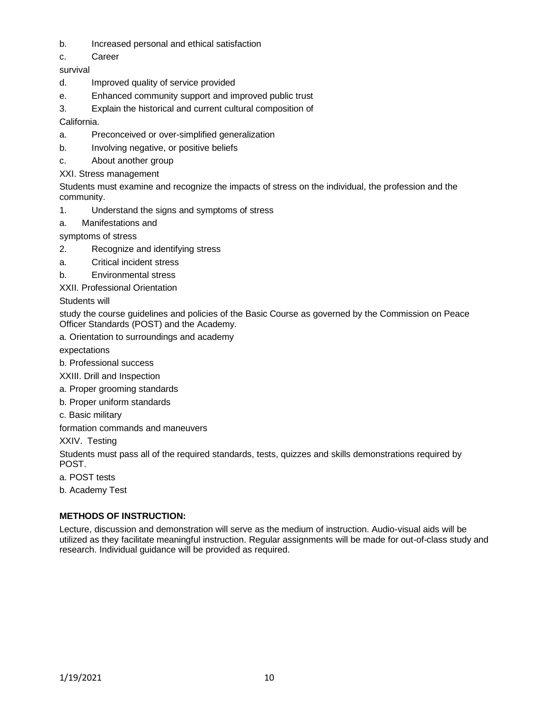- b. Increased personal and ethical satisfaction
- c. Career

survival

- d. Improved quality of service provided
- e. Enhanced community support and improved public trust
- 3. Explain the historical and current cultural composition of

California.

- a. Preconceived or over-simplified generalization
- b. Involving negative, or positive beliefs
- c. About another group
- XXI. Stress management

Students must examine and recognize the impacts of stress on the individual, the profession and the community.

- 1. Understand the signs and symptoms of stress
- a. Manifestations and

symptoms of stress

- 2. Recognize and identifying stress
- a. Critical incident stress
- b. Environmental stress

XXII. Professional Orientation

Students will

study the course guidelines and policies of the Basic Course as governed by the Commission on Peace Officer Standards (POST) and the Academy.

a. Orientation to surroundings and academy

expectations

b. Professional success

XXIII. Drill and Inspection

- a. Proper grooming standards
- b. Proper uniform standards
- c. Basic military

formation commands and maneuvers

XXIV. Testing

Students must pass all of the required standards, tests, quizzes and skills demonstrations required by POST.

- a. POST tests
- b. Academy Test

# **METHODS OF INSTRUCTION:**

Lecture, discussion and demonstration will serve as the medium of instruction. Audio-visual aids will be utilized as they facilitate meaningful instruction. Regular assignments will be made for out-of-class study and research. Individual guidance will be provided as required.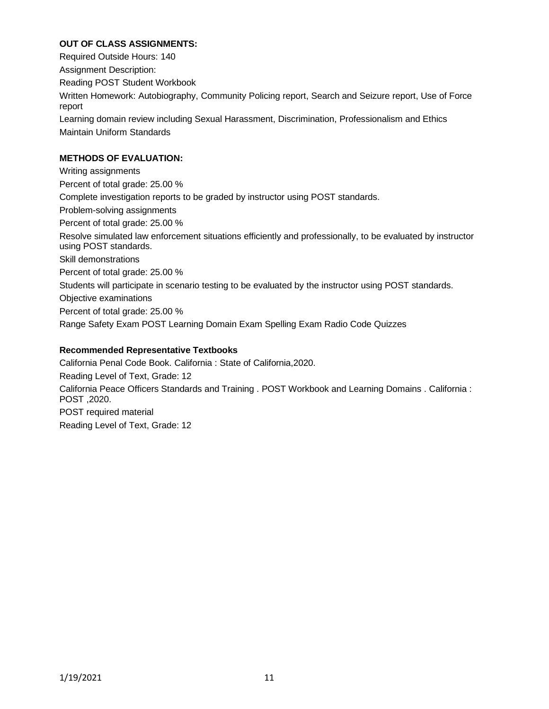# **OUT OF CLASS ASSIGNMENTS:**

Required Outside Hours: 140 Assignment Description: Reading POST Student Workbook Written Homework: Autobiography, Community Policing report, Search and Seizure report, Use of Force report Learning domain review including Sexual Harassment, Discrimination, Professionalism and Ethics Maintain Uniform Standards

# **METHODS OF EVALUATION:**

Writing assignments Percent of total grade: 25.00 % Complete investigation reports to be graded by instructor using POST standards. Problem-solving assignments Percent of total grade: 25.00 % Resolve simulated law enforcement situations efficiently and professionally, to be evaluated by instructor using POST standards. Skill demonstrations Percent of total grade: 25.00 % Students will participate in scenario testing to be evaluated by the instructor using POST standards. Objective examinations Percent of total grade: 25.00 % Range Safety Exam POST Learning Domain Exam Spelling Exam Radio Code Quizzes

# **Recommended Representative Textbooks**

California Penal Code Book. California : State of California,2020. Reading Level of Text, Grade: 12 California Peace Officers Standards and Training . POST Workbook and Learning Domains . California : POST ,2020. POST required material Reading Level of Text, Grade: 12